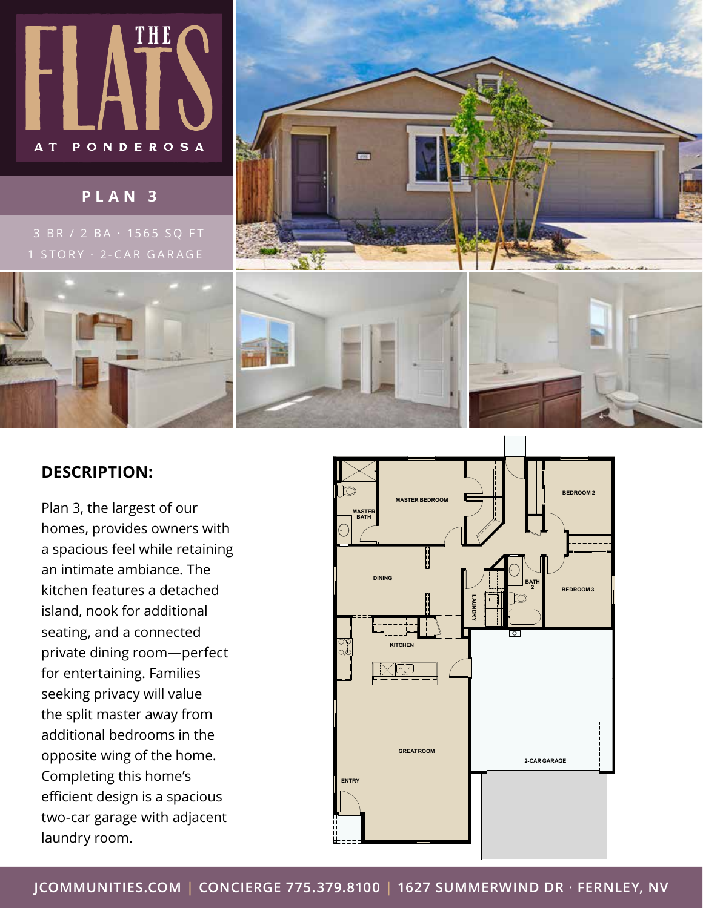

## **PLAN 3**

3 BR / 2 BA · 1565 SQ FT







## **DESCRIPTION:**

Plan 3, the largest of our homes, provides owners with a spacious feel while retaining an intimate ambiance. The kitchen features a detached island, nook for additional seating, and a connected private dining room—perfect for entertaining. Families seeking privacy will value the split master away from additional bedrooms in the opposite wing of the home. Completing this home's efficient design is a spacious two-car garage with adjacent laundry room.



**JCOMMUNITIES.COM | CONCIERGE 775.379.8100 | 1627 SUMMERWIND DR** · **FERNLEY, NV**